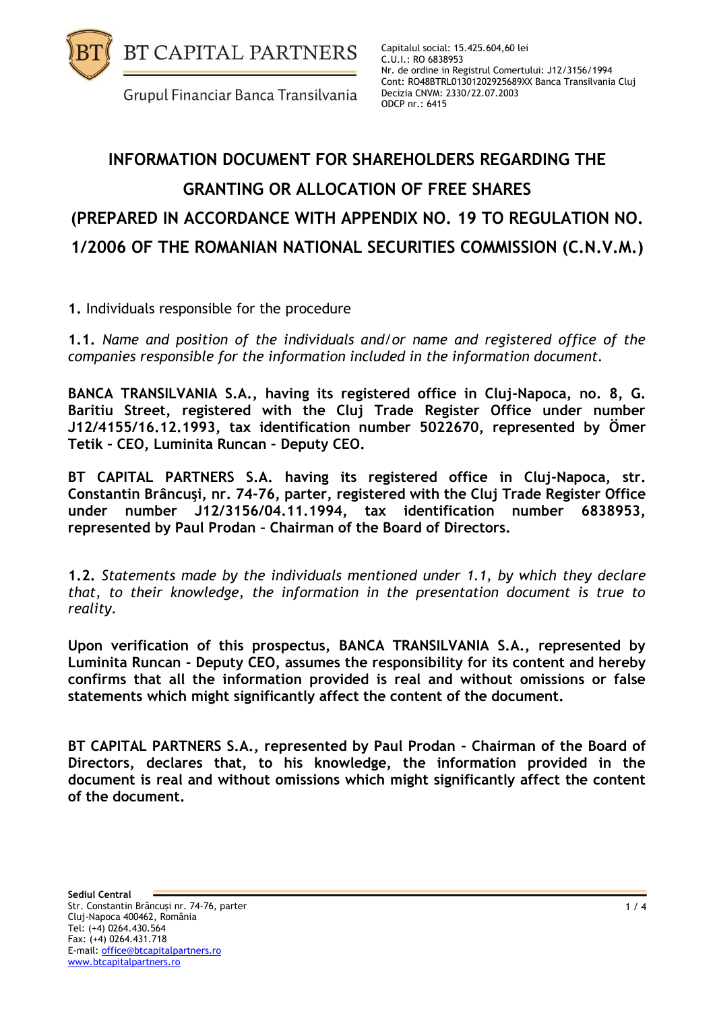

Capitalul social: 15.425.604,60 lei C.U.I.: RO 6838953 Nr. de ordine in Registrul Comertului: J12/3156/1994 Cont: RO48BTRL01301202925689XX Banca Transilvania Cluj Decizia CNVM: 2330/22.07.2003 ODCP nr.: 6415

## **INFORMATION DOCUMENT FOR SHAREHOLDERS REGARDING THE GRANTING OR ALLOCATION OF FREE SHARES (PREPARED IN ACCORDANCE WITH APPENDIX NO. 19 TO REGULATION NO. 1/2006 OF THE ROMANIAN NATIONAL SECURITIES COMMISSION (C.N.V.M.)**

**1.** Individuals responsible for the procedure

**1.1.** *Name and position of the individuals and/or name and registered office of the companies responsible for the information included in the information document.*

**BANCA TRANSILVANIA S.A., having its registered office in Cluj-Napoca, no. 8, G. Baritiu Street, registered with the Cluj Trade Register Office under number J12/4155/16.12.1993, tax identification number 5022670, represented by Ömer Tetik – CEO, Luminita Runcan – Deputy CEO.**

**BT CAPITAL PARTNERS S.A. having its registered office in Cluj-Napoca, str. Constantin Brâncuşi, nr. 74-76, parter, registered with the Cluj Trade Register Office under number J12/3156/04.11.1994, tax identification number 6838953, represented by Paul Prodan – Chairman of the Board of Directors.** 

**1.2.** *Statements made by the individuals mentioned under 1.1, by which they declare that, to their knowledge, the information in the presentation document is true to reality.* 

**Upon verification of this prospectus, BANCA TRANSILVANIA S.A., represented by Luminita Runcan - Deputy CEO, assumes the responsibility for its content and hereby confirms that all the information provided is real and without omissions or false statements which might significantly affect the content of the document.**

**BT CAPITAL PARTNERS S.A., represented by Paul Prodan – Chairman of the Board of Directors, declares that, to his knowledge, the information provided in the document is real and without omissions which might significantly affect the content of the document.**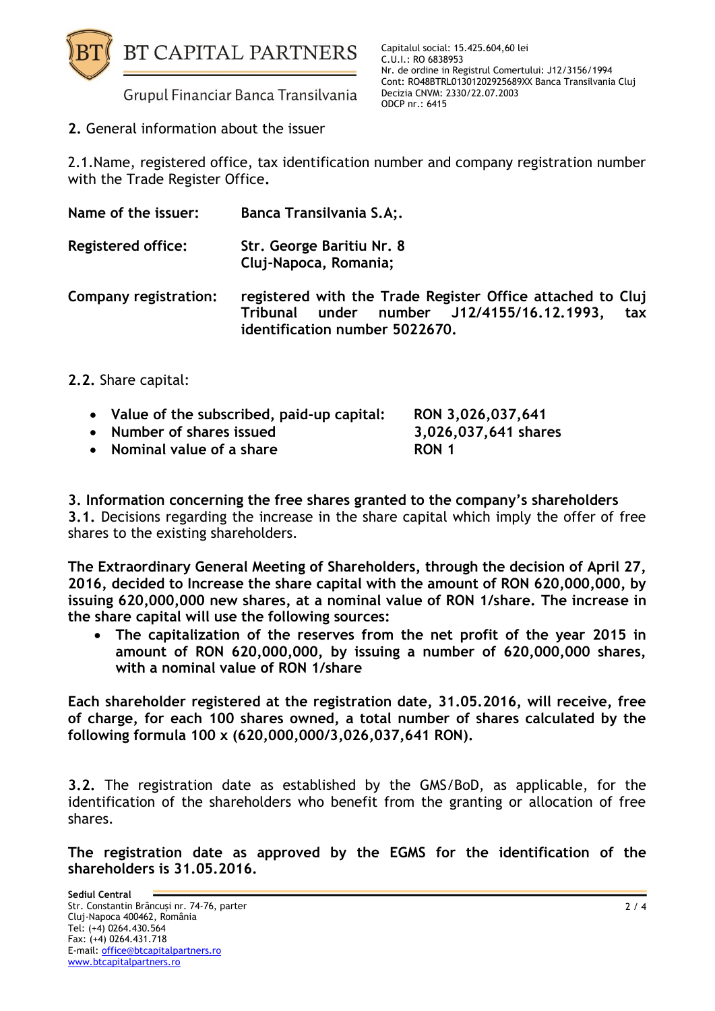

**2.** General information about the issuer

2.1.Name, registered office, tax identification number and company registration number with the Trade Register Office**.**

| Name of the issuer:       | Banca Transilvania S.A;.                                                       |
|---------------------------|--------------------------------------------------------------------------------|
| <b>Registered office:</b> | Str. George Baritiu Nr. 8<br>Cluj-Napoca, Romania;                             |
| Company registration:     | registered with the Trade Register Office<br>Tribunal under number 112/4155/16 |

**attached to Cluj Tribunal under number J12/4155/16.12.1993, tax identification number 5022670.**

**2.2.** Share capital:

| • Value of the subscribed, paid-up capital: | RON 3,026,037,641    |
|---------------------------------------------|----------------------|
| • Number of shares issued                   | 3,026,037,641 shares |
| • Nominal value of a share                  | RON 1                |

**3. Information concerning the free shares granted to the company's shareholders 3.1.** Decisions regarding the increase in the share capital which imply the offer of free shares to the existing shareholders.

**The Extraordinary General Meeting of Shareholders, through the decision of April 27, 2016, decided to Increase the share capital with the amount of RON 620,000,000, by issuing 620,000,000 new shares, at a nominal value of RON 1/share. The increase in the share capital will use the following sources:**

 **The capitalization of the reserves from the net profit of the year 2015 in amount of RON 620,000,000, by issuing a number of 620,000,000 shares, with a nominal value of RON 1/share**

**Each shareholder registered at the registration date, 31.05.2016, will receive, free of charge, for each 100 shares owned, a total number of shares calculated by the following formula 100 x (620,000,000/3,026,037,641 RON).**

**3.2.** The registration date as established by the GMS/BoD, as applicable, for the identification of the shareholders who benefit from the granting or allocation of free shares.

**The registration date as approved by the EGMS for the identification of the shareholders is 31.05.2016.**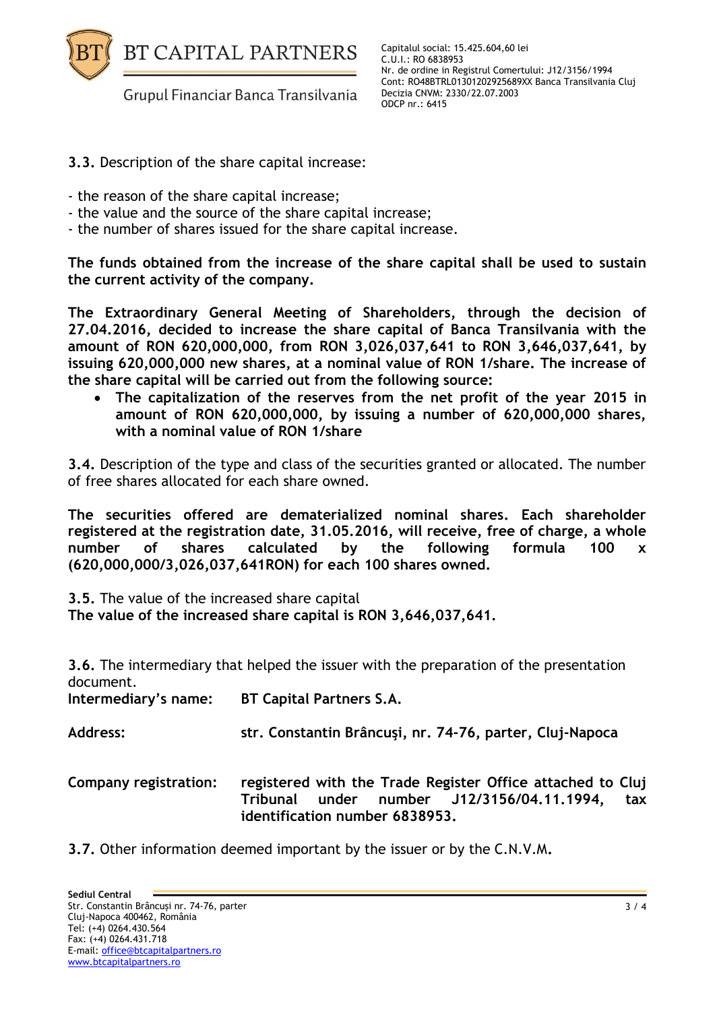

Capitalul social: 15.425.604,60 lei C.U.I.: RO 6838953 Nr. de ordine in Registrul Comertului: J12/3156/1994 Cont: RO48BTRL01301202925689XX Banca Transilvania Cluj Decizia CNVM: 2330/22.07.2003 ODCP nr.: 6415

- **3.3.** Description of the share capital increase:
- the reason of the share capital increase;
- the value and the source of the share capital increase;
- the number of shares issued for the share capital increase.

**The funds obtained from the increase of the share capital shall be used to sustain the current activity of the company.**

**The Extraordinary General Meeting of Shareholders, through the decision of 27.04.2016, decided to increase the share capital of Banca Transilvania with the amount of RON 620,000,000, from RON 3,026,037,641 to RON 3,646,037,641, by issuing 620,000,000 new shares, at a nominal value of RON 1/share. The increase of the share capital will be carried out from the following source:**

 **The capitalization of the reserves from the net profit of the year 2015 in amount of RON 620,000,000, by issuing a number of 620,000,000 shares, with a nominal value of RON 1/share**

**3.4.** Description of the type and class of the securities granted or allocated. The number of free shares allocated for each share owned.

**The securities offered are dematerialized nominal shares. Each shareholder registered at the registration date, 31.05.2016, will receive, free of charge, a whole number of shares calculated by the following formula 100 x (620,000,000/3,026,037,641RON) for each 100 shares owned.**

**3.5.** The value of the increased share capital

**The value of the increased share capital is RON 3,646,037,641.**

**3.6.** The intermediary that helped the issuer with the preparation of the presentation document.

| Intermediary's name:  | <b>BT Capital Partners S.A.</b>                                                                                                                   |
|-----------------------|---------------------------------------------------------------------------------------------------------------------------------------------------|
| Address:              | str. Constantin Brâncuși, nr. 74-76, parter, Cluj-Napoca                                                                                          |
| Company registration: | registered with the Trade Register Office attached to Cluj<br>Tribunal under number J12/3156/04.11.1994,<br>tax<br>identification number 6838953. |

**3.7.** Other information deemed important by the issuer or by the C.N.V.M**.**